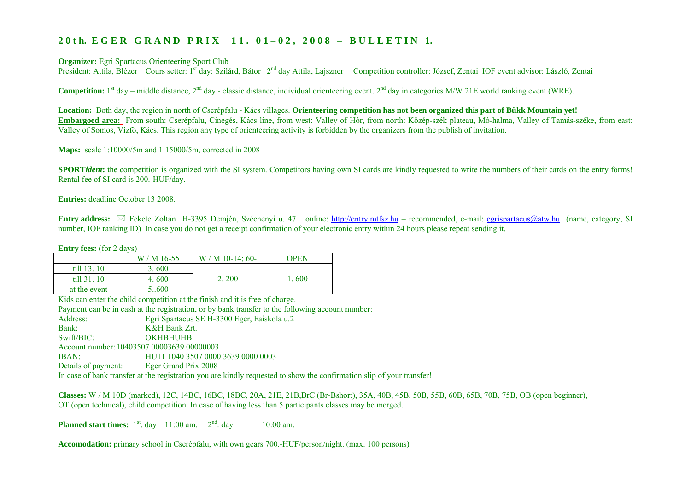## 20th. EGER GRAND PRIX 11. 01-02, 2008 - BULLETIN 1.

**Organizer:** Egri Spartacus Orienteering Sport Club

President: Attila, Blézer Cours setter: 1<sup>st</sup> day: Szilárd, Bátor 2<sup>nd</sup> day Attila, Lajszner Competition controller: József, Zentai IOF event advisor: László, Zentai

**Competition:**  $1^{st}$  day – middle distance,  $2^{nd}$  day - classic distance, individual orienteering event.  $2^{nd}$  day in categories M/W 21E world ranking event (WRE).

**Location:** Both day, the region in north of Cserépfalu - Kács villages. **Orienteering competition has not been organized this part of Bükk Mountain yet! Embargoed area:** From south: Cserépfalu, Cinegés, Kács line, from west: Valley of Hór, from north: Közép-szék plateau, Mó-halma, Valley of Tamás-széke, from east: Valley of Somos, Vízfő, Kács. This region any type of orienteering activity is forbidden by the organizers from the publish of invitation.

**Maps:** scale 1:10000/5m and 1:15000/5m, corrected in 2008

**SPORT***ident*: the competition is organized with the SI system. Competitors having own SI cards are kindly requested to write the numbers of their cards on the entry forms! Rental fee of SI card is 200.-HUF/day.

**Entries:** deadline October 13 2008.

**Entry address:**  Fekete Zoltán H-3395 Demjén, Széchenyi u. 47 online: [http://entry.mtfsz.hu](http://entry.mtfsz.hu/) – recommended, e-mail: [egrispartacus@atw.hu](mailto:egrispartacus@atw.hu) (name, category, SI number, IOF ranking ID) In case you do not get a receipt confirmation of your electronic entry within 24 hours please repeat sending it.

| <b>Entry fees:</b> (for 2 days) |            |                  |       |
|---------------------------------|------------|------------------|-------|
|                                 | $W/M16-55$ | $W/M10-14$ ; 60- | OPEN  |
| $\text{fill } 13.10$            | 3.600      |                  |       |
| $\text{till } 31.10$            | 4.600      | 2.200            | 1.600 |
| at the event                    | 5600       |                  |       |

Kids can enter the child competition at the finish and it is free of charge.

Payment can be in cash at the registration, or by bank transfer to the following account number:

Address: Egri Spartacus SE H-3300 Eger, Faiskola u.2 Bank: K&H Bank Zrt. Swift/BIC: OKHBHUHB Account number: 10403507 00003639 00000003 IBAN: HU11 1040 3507 0000 3639 0000 0003 Details of payment: Eger Grand Prix 2008 In case of bank transfer at the registration you are kindly requested to show the confirmation slip of your transfer!

**Classes:** W / M 10D (marked), 12C, 14BC, 16BC, 18BC, 20A, 21E, 21B,BrC (Br-Bshort), 35A, 40B, 45B, 50B, 55B, 60B, 65B, 70B, 75B, OB (open beginner), OT (open technical), child competition. In case of having less than 5 participants classes may be merged.

**Planned start times:**  $1^{st}$ . day  $11:00$  am.  $2^{nd}$ . day  $10:00$  am.

**Accomodation:** primary school in Cserépfalu, with own gears 700.-HUF/person/night. (max. 100 persons)